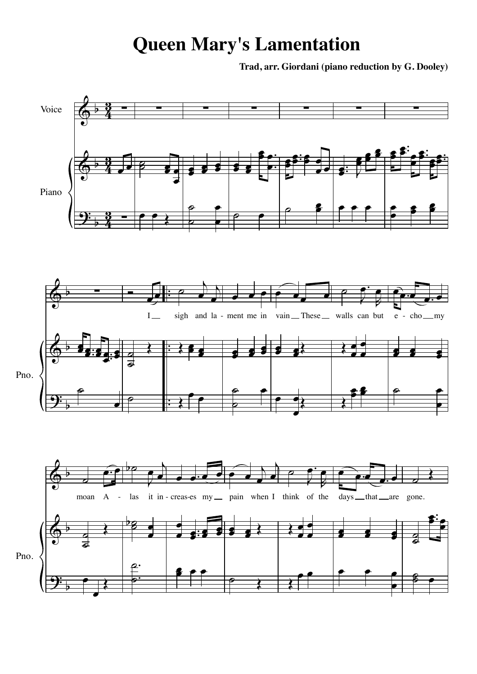## **Queen Mary's Lamentation**

**Trad, arr. Giordani (piano reduction by G. Dooley)**